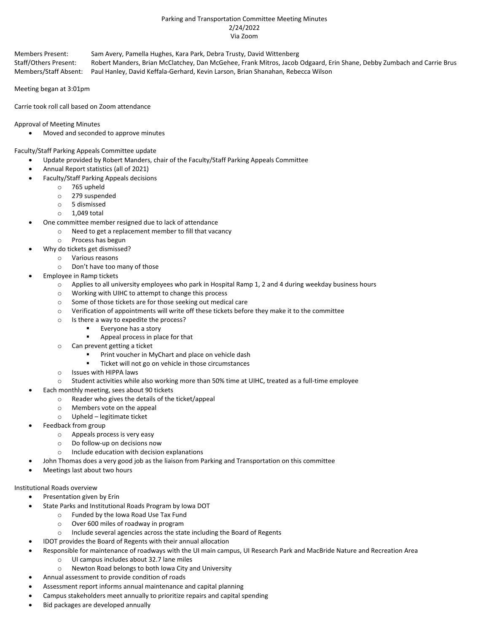#### Parking and Transportation Committee Meeting Minutes 2/24/2022 Via Zoom

Members Present: Sam Avery, Pamella Hughes, Kara Park, Debra Trusty, David Wittenberg Staff/Others Present: Robert Manders, Brian McClatchey, Dan McGehee, Frank Mitros, Jacob Odgaard, Erin Shane, Debby Zumbach and Carrie Brus Members/Staff Absent: Paul Hanley, David Keffala-Gerhard, Kevin Larson, Brian Shanahan, Rebecca Wilson

Meeting began at 3:01pm

Carrie took roll call based on Zoom attendance

Approval of Meeting Minutes

• Moved and seconded to approve minutes

Faculty/Staff Parking Appeals Committee update

- Update provided by Robert Manders, chair of the Faculty/Staff Parking Appeals Committee
- Annual Report statistics (all of 2021)
- Faculty/Staff Parking Appeals decisions
	- o 765 upheld
	- o 279 suspended
	- o 5 dismissed
	- $\circ$  1.049 total
- One committee member resigned due to lack of attendance
	- o Need to get a replacement member to fill that vacancy
		- o Process has begun
	- Why do tickets get dismissed?
		- o Various reasons
		- o Don't have too many of those
- Employee in Ramp tickets
	- $\circ$  Applies to all university employees who park in Hospital Ramp 1, 2 and 4 during weekday business hours
	- o Working with UIHC to attempt to change this process
	- o Some of those tickets are for those seeking out medical care
	- o Verification of appointments will write off these tickets before they make it to the committee
	- o Is there a way to expedite the process?
		- Everyone has a story
		- Appeal process in place for that
	- o Can prevent getting a ticket
		- Print voucher in MyChart and place on vehicle dash
		- Ticket will not go on vehicle in those circumstances
	- o Issues with HIPPA laws
	- o Student activities while also working more than 50% time at UIHC, treated as a full-time employee
	- Each monthly meeting, sees about 90 tickets
		- o Reader who gives the details of the ticket/appeal
		- o Members vote on the appeal
		- o Upheld legitimate ticket
- Feedback from group
	- o Appeals process is very easy
	- o Do follow-up on decisions now
	- o Include education with decision explanations
	- John Thomas does a very good job as the liaison from Parking and Transportation on this committee
- Meetings last about two hours

### Institutional Roads overview

- Presentation given by Erin
- State Parks and Institutional Roads Program by Iowa DOT
	- o Funded by the Iowa Road Use Tax Fund
	- o Over 600 miles of roadway in program
	- o Include several agencies across the state including the Board of Regents
- IDOT provides the Board of Regents with their annual allocation
	- Responsible for maintenance of roadways with the UI main campus, UI Research Park and MacBride Nature and Recreation Area
		- o UI campus includes about 32.7 lane miles
		- o Newton Road belongs to both Iowa City and University
- Annual assessment to provide condition of roads
- Assessment report informs annual maintenance and capital planning
- Campus stakeholders meet annually to prioritize repairs and capital spending
- Bid packages are developed annually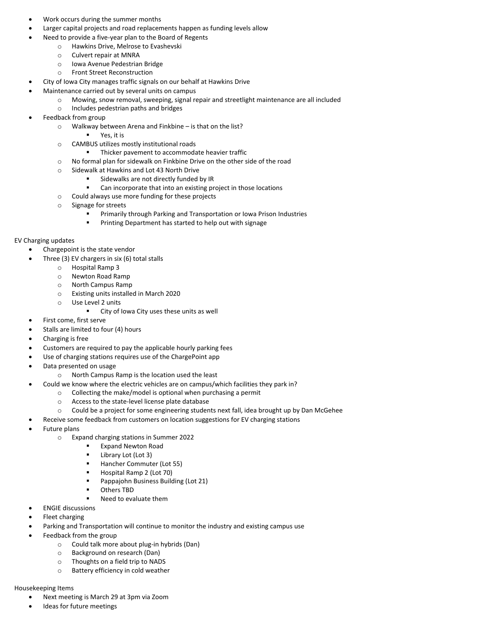- Work occurs during the summer months
- Larger capital projects and road replacements happen as funding levels allow
	- Need to provide a five-year plan to the Board of Regents
		- o Hawkins Drive, Melrose to Evashevski
			- o Culvert repair at MNRA
			- o Iowa Avenue Pedestrian Bridge
			- o Front Street Reconstruction
- City of Iowa City manages traffic signals on our behalf at Hawkins Drive
- Maintenance carried out by several units on campus
	- o Mowing, snow removal, sweeping, signal repair and streetlight maintenance are all included
		- o Includes pedestrian paths and bridges
- Feedback from group
	- o Walkway between Arena and Finkbine is that on the list?
		- Yes, it is
	- o CAMBUS utilizes mostly institutional roads
		- **■** Thicker pavement to accommodate heavier traffic
	- o No formal plan for sidewalk on Finkbine Drive on the other side of the road
	- o Sidewalk at Hawkins and Lot 43 North Drive
		- Sidewalks are not directly funded by IR
		- Can incorporate that into an existing project in those locations
	- o Could always use more funding for these projects
	- o Signage for streets
		- Primarily through Parking and Transportation or Iowa Prison Industries
		- Printing Department has started to help out with signage

# EV Charging updates

- Chargepoint is the state vendor
- Three (3) EV chargers in six (6) total stalls
	- o Hospital Ramp 3
	- o Newton Road Ramp
	- o North Campus Ramp
	- o Existing units installed in March 2020
	- o Use Level 2 units
		- City of Iowa City uses these units as well
- First come, first serve
- Stalls are limited to four (4) hours
- Charging is free
- Customers are required to pay the applicable hourly parking fees
- Use of charging stations requires use of the ChargePoint app
- Data presented on usage
	- o North Campus Ramp is the location used the least
- Could we know where the electric vehicles are on campus/which facilities they park in?
	- o Collecting the make/model is optional when purchasing a permit
		- o Access to the state-level license plate database
		- o Could be a project for some engineering students next fall, idea brought up by Dan McGehee
	- Receive some feedback from customers on location suggestions for EV charging stations
- Future plans
	- o Expand charging stations in Summer 2022
		- **Expand Newton Road**
		- Library Lot (Lot 3)
		- Hancher Commuter (Lot 55)
		- Hospital Ramp 2 (Lot 70)
		- Pappajohn Business Building (Lot 21)
		- Others TBD
		- Need to evaluate them
- ENGIE discussions
- Fleet charging
	- Parking and Transportation will continue to monitor the industry and existing campus use
- Feedback from the group
	- o Could talk more about plug-in hybrids (Dan)
	- o Background on research (Dan)
	- o Thoughts on a field trip to NADS
	- o Battery efficiency in cold weather

#### Housekeeping Items

- Next meeting is March 29 at 3pm via Zoom
- Ideas for future meetings